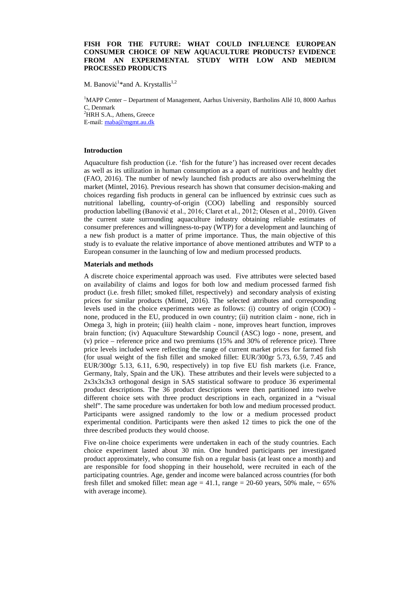## **FISH FOR THE FUTURE: WHAT COULD INFLUENCE EUROPEAN CONSUMER CHOICE OF NEW AQUACULTURE PRODUCTS? EVIDENCE FROM AN EXPERIMENTAL STUDY WITH LOW AND MEDIUM PROCESSED PRODUCTS**

M. Banović<sup>1</sup>\*and A. Krystallis<sup>1,2</sup>

<sup>1</sup>MAPP Center - Department of Management, Aarhus University, Bartholins Allé 10, 8000 Aarhus C, Denmark <sup>2</sup>HRH S.A., Athens, Greece E-mail: [maba@mgmt.au.dk](mailto:maba@mgmt.au.dk)

# **Introduction**

Aquaculture fish production (i.e. 'fish for the future') has increased over recent decades as well as its utilization in human consumption as a apart of nutritious and healthy diet (FAO, 2016). The number of newly launched fish products are also overwhelming the market (Mintel, 2016). Previous research has shown that consumer decision-making and choices regarding fish products in general can be influenced by extrinsic cues such as nutritional labelling, country-of-origin (COO) labelling and responsibly sourced production labelling (Banović et al., 2016; Claret et al., 2012; Olesen et al., 2010). Given the current state surrounding aquaculture industry obtaining reliable estimates of consumer preferences and willingness-to-pay (WTP) for a development and launching of a new fish product is a matter of prime importance. Thus, the main objective of this study is to evaluate the relative importance of above mentioned attributes and WTP to a European consumer in the launching of low and medium processed products.

#### **Materials and methods**

A discrete choice experimental approach was used. Five attributes were selected based on availability of claims and logos for both low and medium processed farmed fish product (i.e. fresh fillet; smoked fillet, respectively) and secondary analysis of existing prices for similar products (Mintel, 2016). The selected attributes and corresponding levels used in the choice experiments were as follows: (i) country of origin (COO) none, produced in the EU, produced in own country; (ii) nutrition claim - none, rich in Omega 3, high in protein; (iii) health claim - none, improves heart function, improves brain function; (iv) Aquaculture Stewardship Council (ASC) logo - none, present, and (v) price – reference price and two premiums (15% and 30% of reference price). Three price levels included were reflecting the range of current market prices for farmed fish (for usual weight of the fish fillet and smoked fillet: EUR/300gr 5.73, 6.59, 7.45 and EUR/300gr 5.13, 6.11, 6.90, respectively) in top five EU fish markets (i.e. France, Germany, Italy, Spain and the UK). These attributes and their levels were subjected to a 2x3x3x3x3 orthogonal design in SAS statistical software to produce 36 experimental product descriptions. The 36 product descriptions were then partitioned into twelve different choice sets with three product descriptions in each, organized in a "visual shelf". The same procedure was undertaken for both low and medium processed product. Participants were assigned randomly to the low or a medium processed product experimental condition. Participants were then asked 12 times to pick the one of the three described products they would choose.

Five on-line choice experiments were undertaken in each of the study countries. Each choice experiment lasted about 30 min. One hundred participants per investigated product approximately, who consume fish on a regular basis (at least once a month) and are responsible for food shopping in their household, were recruited in each of the participating countries. Age, gender and income were balanced across countries (for both fresh fillet and smoked fillet: mean age = 41.1, range = 20-60 years, 50% male,  $\sim 65\%$ with average income).